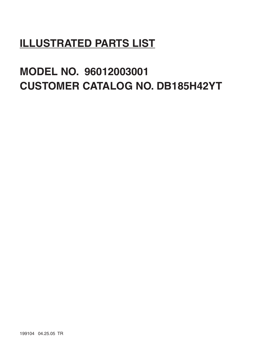# **ILLUSTRATED PARTS LIST**

# **MODEL NO. 96012003001 CUSTOMER CATALOG NO. DB185H42YT**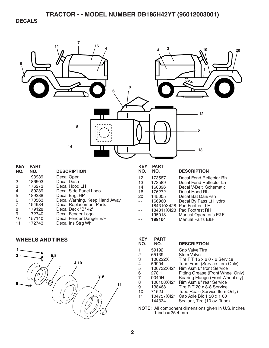**DECALS** 



| .            | .      |                                |
|--------------|--------|--------------------------------|
| NO.          | NO.    | <b>DESCRIPTION</b>             |
| 1            | 193939 | Decal Oper                     |
| 2            | 186503 | Decal Dash                     |
| $\mathbf{3}$ | 176273 | Decal Hood LH                  |
| 4            | 189289 | Decal Side Panel Logo          |
| 5            | 189288 | Decal Eng. HP                  |
| 6            | 170563 | Decal Warning, Keep Hand Away  |
|              | 194984 | <b>Decal Replacement Parts</b> |
| 8            | 179128 | Decal Deck "B" 42"             |
| 9            | 172740 | Decal Fender Logo              |
| 10           | 157140 | Decal Fender Danger E/F        |
| 11           | 172743 | Decal Ins Strg Whl             |
|              |        |                                |

#### **WHEELS AND TIRES**



| NO. | NO.        | <b>DESCRIPTION</b>          |
|-----|------------|-----------------------------|
| 12  | 173587     | Decal Fend Reflector Rh     |
| 13  | 173589     | Decal Fend Reflector Lh     |
| 14  | 160396     | Decal V-Belt Schematic      |
| 16  | 176272     | Decal Hood Rh               |
| 20  | 145005     | Decal Bat Dan/Psn           |
|     | 166960     | Decal By Pass Lt Hydro      |
|     | 184310X428 | Pad Footrest LH             |
|     | 184311X428 | Pad Footrest RH             |
|     | 195018     | Manual Operator's E&F       |
|     | 199104     | <b>Manual Parts E&amp;F</b> |

| KEY<br>NO. | <b>PART</b><br>NO. | <b>DESCRIPTION</b>                |
|------------|--------------------|-----------------------------------|
|            | 59192              | Cap Valve Tire                    |
| 2          | 65139              | <b>Stem Valve</b>                 |
| 3          | 106222X            | Tire FT 15 x 6 0 - 6 Service      |
| 4          | 59904              | Tube Front (Service Item Only)    |
| 5          | 106732X421         | Rim Asm 6" front Service          |
| 6          | 278H               | Fitting Grease (Front Wheel Only) |
| 7          | 9040H              | Bearing Flange (Front Wheel nly)  |
| 8          | 106108X421         | Rim Asm 8" rear Service           |
| 9          | 138468             | Tire R T 20 x 8-8 Service         |
| 10         | 7152J              | Tube Rear (Service Item Only)     |
| 11         | 104757X421         | Cap Axle Blk 1 50 x 1 00          |
|            | 144334             | Sealant, Tire (10 oz. Tube)       |
|            |                    |                                   |

**NOTE:** All component dimensions given in U.S. inches 1 inch  $= 25.4$  mm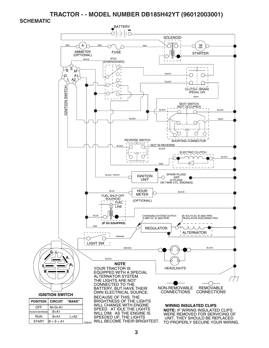**SCHEMATIC** 

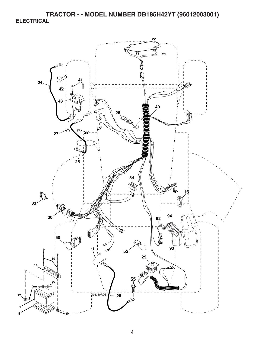**TRACTOR - - MODEL NUMBER DB185H42YT (96012003001) ELECTRICAL** 

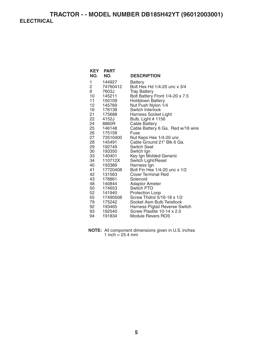### **TRACTOR - - MODEL NUMBER DB185H42YT (96012003001) ELECTRICAL**

| KEY<br>NO.      | <b>PART</b><br>NO. | <b>DESCRIPTION</b>                                           |
|-----------------|--------------------|--------------------------------------------------------------|
| 1               | 144927             | <b>Battery</b>                                               |
| 2               | 74760412           | Bolt Hex Hd 1/4-20 unc x 3/4                                 |
| 8               | 7603J              | <b>Tray Battery</b>                                          |
| 10              | 145211             | Bolt Battery Front 1/4-20 x 7.5                              |
| 11              | 150109             | <b>Holddown Battery</b>                                      |
| 12 <sup>2</sup> | 145769             | Nut Push Nylon 1/4                                           |
| 16              | 176138             | Switch Interlock                                             |
| 21              | 175688             | Harness Socket Light                                         |
| 22              | 4152J              | Bulb, Light # 1156                                           |
| 24              | 8860R              | <b>Cable Battery</b>                                         |
| 25              | 146148             | Cable Battery 6 Ga. Red w/16 wire                            |
| 26 —            | 175158             | Fuse                                                         |
| 27              | 73510400           | Nut Keps Hex 1/4-20 unc                                      |
| 28              | 145491             | Cable Ground 21" Blk 6 Ga.                                   |
| 29              | 192749             | <b>Switch Seat</b>                                           |
| 30              | 193350             | Switch Ign                                                   |
| 33              | 140401             | Key Ign Molded Generic                                       |
| 34              | 110712X            | Switch Light/Reset                                           |
| 40              | 193389             | Harness Ign                                                  |
| 41              | 17720408           | Bolt Fin Hex 1/4-20 unc x 1/2                                |
| 42              | 131563             | <b>Cover Terminal Red</b>                                    |
| 43              | 178861             | Solenoid                                                     |
| 48              | 140844             | Adaptor Ameter                                               |
| 50              | 174653             | Switch PTO                                                   |
| 52              | 141940             | Protection Loop                                              |
| 55              | 17490508           | Screw Thdrol 5/16-18 x 1/2                                   |
| 79              | 175242             | Socket Asm Bulb Twistlock                                    |
| 92<br>93        | 193465             | Harness Pigtail Reverse Switch<br>Screw Plastite 10-14 x 2.0 |
| 94              | 192540             |                                                              |
|                 | 191834             | <b>Module Revers ROS</b>                                     |

**NOTE:** All component dimensions given in U.S. inches 1 inch = 25.4 mm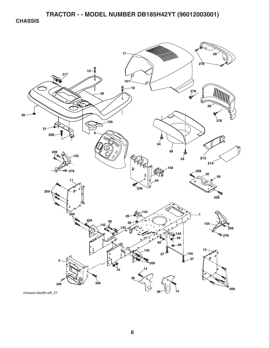**CHASSIS** 

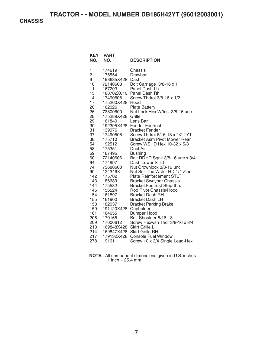**CHASSIS** 

| <b>KEY</b><br>NO.                                                                                                                                                                                                                     | <b>PART</b><br>NO.                                                                                                                                                                                                                                                                                                                                                                  | <b>DESCRIPTION</b>                                                                                                                                                                                                                                                                                                                                                                                                                                                                                                                                                                                                                                                                                                                                                                                                                                                                                                                      |
|---------------------------------------------------------------------------------------------------------------------------------------------------------------------------------------------------------------------------------------|-------------------------------------------------------------------------------------------------------------------------------------------------------------------------------------------------------------------------------------------------------------------------------------------------------------------------------------------------------------------------------------|-----------------------------------------------------------------------------------------------------------------------------------------------------------------------------------------------------------------------------------------------------------------------------------------------------------------------------------------------------------------------------------------------------------------------------------------------------------------------------------------------------------------------------------------------------------------------------------------------------------------------------------------------------------------------------------------------------------------------------------------------------------------------------------------------------------------------------------------------------------------------------------------------------------------------------------------|
| 1<br>2<br>9<br>10<br>11<br>13<br>14<br>17<br>20<br>26<br>28<br>29<br>30<br>31<br>37<br>38<br>54<br>58<br>59<br>60<br>64<br>74<br>90<br>142<br>143<br>144<br>145<br>154<br>155<br>158<br>159<br>161<br>206<br>209<br>213<br>214<br>217 | 174619<br>176554<br>193635X428 Dash<br>72140608<br>167203<br>17490608<br>175260X428 Hood<br>162026<br>73800600<br>175289X428<br>161840<br>139976<br>17490508<br>175710<br>192512<br>175351<br>187495<br>72140606<br>174997<br>73680600<br>124346X<br>175702<br>186689<br>175582<br>156524<br>161897<br>161900<br>162037<br>191120X428<br>164655<br>170165<br>17000612<br>179132X428 | Chassis<br>Drawbar<br>Bolt Carriage 3/8-16 x 1<br>Panel Dash Lh<br>188702X010 Panel Dash Rh<br>Screw Thdrol 3/8-16 x 1/2<br><b>Plate Battery</b><br>Nut Lock Hex W/Ins 3/8-16 unc<br>Grille<br>Lens Bar<br>192395X428 Fender Footrest<br><b>Bracket Fender</b><br>Screw Thdrol 6/16-18 x 1/2 TYT<br><b>Bracket Asm Pivot Mower Rear</b><br>Screw WSHD Hex 10-32 x 5/8<br>Duct Air<br><b>Bushing</b><br>Bolt RDHD Sqnk 3/8-16 unc x 3/4<br>Dash Lower STLT<br>Nut Crownlock 3/8-16 unc<br>Nut Self Thd Wsh - HD 1/4 Zinc<br><b>Plate Reinforcement STLT</b><br><b>Bracket Swaybar Chassis</b><br><b>Bracket Footrest Step-thru</b><br>Rod Pivot Chassis/Hood<br><b>Bracket Dash RH</b><br><b>Bracket Dash LH</b><br><b>Bracket Parking Brake</b><br>Cupholder<br><b>Bumper Hood</b><br>Bolt Shoulder 5/16-18<br>Screw Hexwsh Thdr 3/8-16 x 3/4<br>169848X428 Skirt Grille LH<br>169847X428 Skirt Grille RH<br><b>Console Fuel Window</b> |
| 278                                                                                                                                                                                                                                   | 191611                                                                                                                                                                                                                                                                                                                                                                              | Screw 10 x 3/4 Single Lead-Hex                                                                                                                                                                                                                                                                                                                                                                                                                                                                                                                                                                                                                                                                                                                                                                                                                                                                                                          |

**NOTE:** All component dimensions given in U.S. inches 1 inch  $= 25.4$  mm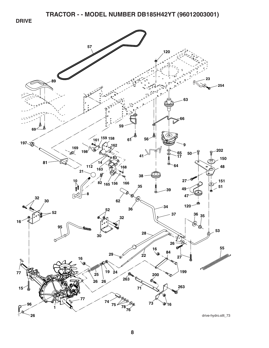**DRIVE** 

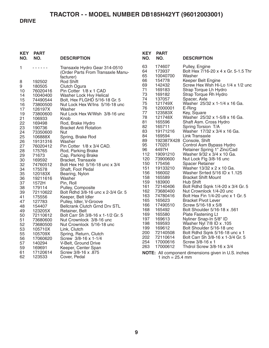### **DRIVE**

| <b>PART</b><br>NO. | <b>DESCRIPTION</b>                                                                                                                                                                                                                                                                                                                    | <b>KEY</b><br>NO.                                                                                                                                                                                                                                                                                                                                                                                                                                                                                                                                                                                                                                                                                        | <b>PART</b><br>NO.                                                                                                                                                                   | <b>DESCRIPTION</b>                                                                                                                                                                                                                                                                                                   |
|--------------------|---------------------------------------------------------------------------------------------------------------------------------------------------------------------------------------------------------------------------------------------------------------------------------------------------------------------------------------|----------------------------------------------------------------------------------------------------------------------------------------------------------------------------------------------------------------------------------------------------------------------------------------------------------------------------------------------------------------------------------------------------------------------------------------------------------------------------------------------------------------------------------------------------------------------------------------------------------------------------------------------------------------------------------------------------------|--------------------------------------------------------------------------------------------------------------------------------------------------------------------------------------|----------------------------------------------------------------------------------------------------------------------------------------------------------------------------------------------------------------------------------------------------------------------------------------------------------------------|
| .                  | Transaxle Hydro Gear 314-0510<br>(Order Parts From Transaxle Manu-                                                                                                                                                                                                                                                                    | 63<br>64<br>65                                                                                                                                                                                                                                                                                                                                                                                                                                                                                                                                                                                                                                                                                           | 174607<br>173937<br>10040700                                                                                                                                                         | Pulley, Engine<br>Bolt Hex 7/16-20 x 4 x Gr. 5-1.5 Thr<br>Washer                                                                                                                                                                                                                                                     |
| 192502             | <b>Rod Shift</b>                                                                                                                                                                                                                                                                                                                      | 66                                                                                                                                                                                                                                                                                                                                                                                                                                                                                                                                                                                                                                                                                                       | 154778                                                                                                                                                                               | Keeper Belt Engine                                                                                                                                                                                                                                                                                                   |
| 180505             | Clutch Ogura                                                                                                                                                                                                                                                                                                                          |                                                                                                                                                                                                                                                                                                                                                                                                                                                                                                                                                                                                                                                                                                          |                                                                                                                                                                                      | Screw Hex Wsh Hi-Lo 1/4 x 1/2 und                                                                                                                                                                                                                                                                                    |
|                    |                                                                                                                                                                                                                                                                                                                                       |                                                                                                                                                                                                                                                                                                                                                                                                                                                                                                                                                                                                                                                                                                          |                                                                                                                                                                                      | Strap Torque Lh Hydro                                                                                                                                                                                                                                                                                                |
|                    |                                                                                                                                                                                                                                                                                                                                       |                                                                                                                                                                                                                                                                                                                                                                                                                                                                                                                                                                                                                                                                                                          |                                                                                                                                                                                      | Strap Torque Rh Hydro                                                                                                                                                                                                                                                                                                |
|                    |                                                                                                                                                                                                                                                                                                                                       |                                                                                                                                                                                                                                                                                                                                                                                                                                                                                                                                                                                                                                                                                                          |                                                                                                                                                                                      | Spacer, Axle<br>Washer 25/32 x 1-1/4 x 16 Ga.                                                                                                                                                                                                                                                                        |
|                    |                                                                                                                                                                                                                                                                                                                                       |                                                                                                                                                                                                                                                                                                                                                                                                                                                                                                                                                                                                                                                                                                          |                                                                                                                                                                                      | E-Ring                                                                                                                                                                                                                                                                                                               |
|                    |                                                                                                                                                                                                                                                                                                                                       |                                                                                                                                                                                                                                                                                                                                                                                                                                                                                                                                                                                                                                                                                                          |                                                                                                                                                                                      | Key, Square                                                                                                                                                                                                                                                                                                          |
|                    |                                                                                                                                                                                                                                                                                                                                       | 78                                                                                                                                                                                                                                                                                                                                                                                                                                                                                                                                                                                                                                                                                                       | 121748X                                                                                                                                                                              | Washer 25/32 x 1-5/8 x 16 Ga.                                                                                                                                                                                                                                                                                        |
|                    |                                                                                                                                                                                                                                                                                                                                       | 81                                                                                                                                                                                                                                                                                                                                                                                                                                                                                                                                                                                                                                                                                                       | 165596                                                                                                                                                                               | Shaft Asm. Cross Hydro                                                                                                                                                                                                                                                                                               |
|                    |                                                                                                                                                                                                                                                                                                                                       | 82                                                                                                                                                                                                                                                                                                                                                                                                                                                                                                                                                                                                                                                                                                       | 165711                                                                                                                                                                               | Spring Torsion T/A                                                                                                                                                                                                                                                                                                   |
|                    | Nut                                                                                                                                                                                                                                                                                                                                   |                                                                                                                                                                                                                                                                                                                                                                                                                                                                                                                                                                                                                                                                                                          | 19171216                                                                                                                                                                             | Washer 17/32 x 3/4 x 16 Ga.                                                                                                                                                                                                                                                                                          |
| 106888X            | Spring, Brake Rod                                                                                                                                                                                                                                                                                                                     |                                                                                                                                                                                                                                                                                                                                                                                                                                                                                                                                                                                                                                                                                                          |                                                                                                                                                                                      | Link Transaxle                                                                                                                                                                                                                                                                                                       |
| 19131316           | Washer                                                                                                                                                                                                                                                                                                                                |                                                                                                                                                                                                                                                                                                                                                                                                                                                                                                                                                                                                                                                                                                          |                                                                                                                                                                                      |                                                                                                                                                                                                                                                                                                                      |
|                    |                                                                                                                                                                                                                                                                                                                                       |                                                                                                                                                                                                                                                                                                                                                                                                                                                                                                                                                                                                                                                                                                          |                                                                                                                                                                                      | Control Asm Bypass Hydro                                                                                                                                                                                                                                                                                             |
|                    |                                                                                                                                                                                                                                                                                                                                       |                                                                                                                                                                                                                                                                                                                                                                                                                                                                                                                                                                                                                                                                                                          |                                                                                                                                                                                      | Retainer Spring 1" Zinc/Cad<br>Washer 9/32 x 3/4 x 10 Ga.                                                                                                                                                                                                                                                            |
|                    |                                                                                                                                                                                                                                                                                                                                       |                                                                                                                                                                                                                                                                                                                                                                                                                                                                                                                                                                                                                                                                                                          |                                                                                                                                                                                      | Nut Lock Flg 3/8-16 unc                                                                                                                                                                                                                                                                                              |
|                    |                                                                                                                                                                                                                                                                                                                                       |                                                                                                                                                                                                                                                                                                                                                                                                                                                                                                                                                                                                                                                                                                          |                                                                                                                                                                                      | <b>Spacer Retainer</b>                                                                                                                                                                                                                                                                                               |
|                    |                                                                                                                                                                                                                                                                                                                                       |                                                                                                                                                                                                                                                                                                                                                                                                                                                                                                                                                                                                                                                                                                          |                                                                                                                                                                                      | Washer 13/32 x 2 x 10 Ga.                                                                                                                                                                                                                                                                                            |
|                    |                                                                                                                                                                                                                                                                                                                                       | 156                                                                                                                                                                                                                                                                                                                                                                                                                                                                                                                                                                                                                                                                                                      | 166002                                                                                                                                                                               | Washer Srrted 5/16 ID x 1.125                                                                                                                                                                                                                                                                                        |
|                    |                                                                                                                                                                                                                                                                                                                                       | 158                                                                                                                                                                                                                                                                                                                                                                                                                                                                                                                                                                                                                                                                                                      | 165589                                                                                                                                                                               | <b>Bracket Shift Mount</b>                                                                                                                                                                                                                                                                                           |
|                    |                                                                                                                                                                                                                                                                                                                                       | 159                                                                                                                                                                                                                                                                                                                                                                                                                                                                                                                                                                                                                                                                                                      | 183900                                                                                                                                                                               | Hub Shift                                                                                                                                                                                                                                                                                                            |
| 179114             |                                                                                                                                                                                                                                                                                                                                       |                                                                                                                                                                                                                                                                                                                                                                                                                                                                                                                                                                                                                                                                                                          |                                                                                                                                                                                      | Bolt Rdhd Sqnk 1/4-20 x 3/4 Gr. 5                                                                                                                                                                                                                                                                                    |
| 72110622           | Bolt Rdhd 3/8-16 unc x 2-3/4 Gr. 5                                                                                                                                                                                                                                                                                                    |                                                                                                                                                                                                                                                                                                                                                                                                                                                                                                                                                                                                                                                                                                          |                                                                                                                                                                                      | Nut Crownlock 1/4-20 unc                                                                                                                                                                                                                                                                                             |
|                    | Keeper, Belt Idler                                                                                                                                                                                                                                                                                                                    |                                                                                                                                                                                                                                                                                                                                                                                                                                                                                                                                                                                                                                                                                                          |                                                                                                                                                                                      | Bolt Hex Fin 1/4-20 unc x 1 Gr. 5                                                                                                                                                                                                                                                                                    |
|                    |                                                                                                                                                                                                                                                                                                                                       |                                                                                                                                                                                                                                                                                                                                                                                                                                                                                                                                                                                                                                                                                                          |                                                                                                                                                                                      | <b>Bracket Pivot Lever</b><br>Screw 5/16-18 x 5/8                                                                                                                                                                                                                                                                    |
|                    |                                                                                                                                                                                                                                                                                                                                       |                                                                                                                                                                                                                                                                                                                                                                                                                                                                                                                                                                                                                                                                                                          |                                                                                                                                                                                      | Bolt Shoulder 5/16-18 x .561                                                                                                                                                                                                                                                                                         |
|                    |                                                                                                                                                                                                                                                                                                                                       |                                                                                                                                                                                                                                                                                                                                                                                                                                                                                                                                                                                                                                                                                                          |                                                                                                                                                                                      | Plate Fastening Lt                                                                                                                                                                                                                                                                                                   |
|                    |                                                                                                                                                                                                                                                                                                                                       |                                                                                                                                                                                                                                                                                                                                                                                                                                                                                                                                                                                                                                                                                                          |                                                                                                                                                                                      | Nyliner Snap-In 5/8" ID                                                                                                                                                                                                                                                                                              |
|                    |                                                                                                                                                                                                                                                                                                                                       |                                                                                                                                                                                                                                                                                                                                                                                                                                                                                                                                                                                                                                                                                                          |                                                                                                                                                                                      | Washer Nyl 7/8 ID x .105                                                                                                                                                                                                                                                                                             |
|                    |                                                                                                                                                                                                                                                                                                                                       | 199                                                                                                                                                                                                                                                                                                                                                                                                                                                                                                                                                                                                                                                                                                      | 169612                                                                                                                                                                               | Bolt Shoulder 5/16-18 unc                                                                                                                                                                                                                                                                                            |
|                    |                                                                                                                                                                                                                                                                                                                                       | 200                                                                                                                                                                                                                                                                                                                                                                                                                                                                                                                                                                                                                                                                                                      | 72140508                                                                                                                                                                             | Bolt Rdhd Sqnk 5/16-18 unc x 1                                                                                                                                                                                                                                                                                       |
| 17060620           | Screw 3/8-16 x 1-1/4                                                                                                                                                                                                                                                                                                                  |                                                                                                                                                                                                                                                                                                                                                                                                                                                                                                                                                                                                                                                                                                          |                                                                                                                                                                                      | Bolt Carr Sh 3/8-16 x 1-3/4 Gr. 5                                                                                                                                                                                                                                                                                    |
| 140294             | V-Belt, Ground Drive                                                                                                                                                                                                                                                                                                                  |                                                                                                                                                                                                                                                                                                                                                                                                                                                                                                                                                                                                                                                                                                          |                                                                                                                                                                                      | Screw 3/8-16 x 1                                                                                                                                                                                                                                                                                                     |
| 169691             | Keeper, Center Span                                                                                                                                                                                                                                                                                                                   |                                                                                                                                                                                                                                                                                                                                                                                                                                                                                                                                                                                                                                                                                                          |                                                                                                                                                                                      | Thdrol Screw 3/8-16 x 3/4                                                                                                                                                                                                                                                                                            |
|                    | Screw 3/8-16 x .875                                                                                                                                                                                                                                                                                                                   |                                                                                                                                                                                                                                                                                                                                                                                                                                                                                                                                                                                                                                                                                                          |                                                                                                                                                                                      | <b>NOTE:</b> All component dimensions given in U.S. inches                                                                                                                                                                                                                                                           |
|                    |                                                                                                                                                                                                                                                                                                                                       |                                                                                                                                                                                                                                                                                                                                                                                                                                                                                                                                                                                                                                                                                                          | 1 inch = $25.4$ mm                                                                                                                                                                   |                                                                                                                                                                                                                                                                                                                      |
|                    | 76020416<br>10040400<br>74490544<br>73800500<br>126197X<br>73800600<br>106933<br>169498<br>190736<br>73350600<br>76020412<br>175765<br>71673<br>169592<br>74760512<br>175578<br>120183X<br>19211616<br>1572H<br>175556<br>127783<br>154407<br>123205X<br>72110612<br>73680600<br>73680500<br>105710X<br>105709X<br>17120614<br>123533 | facturer)<br>Pin Cotter 1/8 x 1 CAD<br>Washer Lock Hvy Helical<br>Bolt, Hex FLGHD 5/16-18 Gr. 5<br>Nut Lock Hex W/Ins 5/16-18 unc<br>Washer<br>Nut Lock Hex W/Wsh 3/8-16 unc<br>Knob<br>Rod, Brake Hydro<br><b>Bracket Anti Rotation</b><br>Pin Cotter 1/8 x 3/4 CAD.<br>Rod, Parking Brake<br>Cap, Parking Brake<br>Bracket, Transaxle<br>Bolt Hex Hd 5/16-18 unc x 3/4<br>Shaft, Foot Pedal<br>Bearing, Nylon<br>Washer<br>Pin, Roll<br>Pulley, Composite<br>Pulley, Idler, V-Groove<br><b>Bellcrank Clutch Grnd Drv STL</b><br>Retainer, Belt<br>Bolt Carr Sh 3/8-16 x 1-1/2 Gr. 5<br>Nut Crownlock 3/8-16 unc<br>Nut Crownlock 5/16-18 unc<br>Link, Clutch<br>Spring, Return, Clutch<br>Cover, Pedal | 69<br>71<br>73<br>74<br>75<br>76<br>77<br>83<br>84<br>89<br>95<br>96<br>112<br>120<br>150<br>151<br>161<br>162<br>163<br>165<br>166<br>168<br>169<br>197<br>198<br>202<br>254<br>263 | 142432<br>169183<br>169182<br>137057<br>121749X<br>12000001<br>123583X<br>169594<br>192387X428 Console, Shift<br>170201<br>4497H<br>19091210<br>73900600<br>175456<br>19133210<br>72140406<br>73680400<br>74780416<br>165623<br>17490510<br>165492<br>165580<br>169613<br>169593<br>72110614<br>17000616<br>17000612 |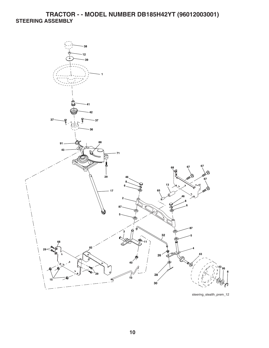### **TRACTOR - - MODEL NUMBER DB185H42YT (96012003001) STEERING ASSEMBLY**



steering\_stealth\_prem\_12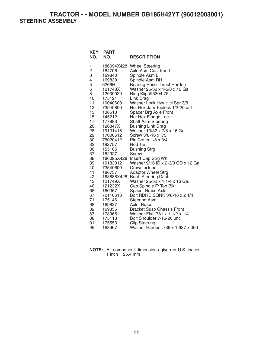**TRACTOR - - MODEL NUMBER DB185H42YT (96012003001) STEERING ASSEMBLY** 

| KEY<br>NO.  | <b>PART</b><br>NO.   | <b>DESCRIPTION</b>                                                      |
|-------------|----------------------|-------------------------------------------------------------------------|
| 1           | 186094X428<br>184706 | <b>Wheel Steering</b><br>Axle Asm Cast Iron LT                          |
| 2<br>3<br>4 | 169840               | Spindle Asm LH                                                          |
|             | 169839               | Spindle Asm RH                                                          |
| 5           | 6266H                | <b>Bearing Race Thrust Harden</b>                                       |
| 6           | 121748X              | Washer 25/32 x 1-5/8 x 16 Ga.                                           |
| 8           | 12000029             | Ring Klip #t5304-75                                                     |
| 10          | 175121               | Link Drag                                                               |
| 11          | 10040600             | Washer Lock Hvy Hlcl Spr 3/8                                            |
| 12          | 73940800             | Nut Hex Jam Toplock 1/2-20 unf                                          |
| 13          | 136518               | Spacer Brg Axle Front                                                   |
| 15          | 145212               | Nut Hex Flange Lock                                                     |
| 17          | 177883               | <b>Shaft Asm Steering</b>                                               |
| 26          | 126847X              | <b>Bushing Link Drag</b>                                                |
| 28          | 19131416             | Washer 13/32 x 7/8 x 16 Ga.                                             |
| 29          | 17000612             | 75. Screw 3/8-16 x                                                      |
| 30<br>32    | 76020412<br>192757   | Pin Cotter 1/8 x 3/4<br>Rod Tie                                         |
| 36          | 155105               | Bushing Strg                                                            |
| 37          | 152927               | Screw                                                                   |
| 38          | 186095X428           | Insert Cap Strg Wh                                                      |
| 39          | 19183812             | Washer 9/16 ID x 2-3/8 OD x 12 Ga.                                      |
| 40          | 73540600             | Crownlock nut                                                           |
| 41          | 186737               | <b>Adaptor Wheel Strg</b>                                               |
| 42          | 163888X428           | Boot Steering Dash                                                      |
| 43          | 121749X              | Washer 25/32 x 1 1/4 x 16 Ga.                                           |
| 46          | 121232X              | Cap Spindle Fr Top Blk                                                  |
| 65          | 160367               | Spacer Brace Axle                                                       |
| 67          | 72110618             | Bolt RDHD SQNK 3/8-16 x 2 1/4                                           |
| 71          | 175146               | Steering Asm                                                            |
| 68          | 169827               | Axle, Brace                                                             |
| 82<br>87    | 169835<br>173966     | <b>Bracket Susp Chassis Front</b><br>14. Washer Flat .781 x 1-1/2 x .14 |
| 88          | 175118               | Bolt Shoulder 7/16-20 unc                                               |
| 91          | 175553               | <b>Clip Steering</b>                                                    |
| 95          | 188967               | Washer Harden .739 x 1.637 x 060                                        |
|             |                      |                                                                         |

| <b>NOTE:</b> All component dimensions given in U.S. inches |  |  |
|------------------------------------------------------------|--|--|
| 1 inch = $25.4 \text{ mm}$                                 |  |  |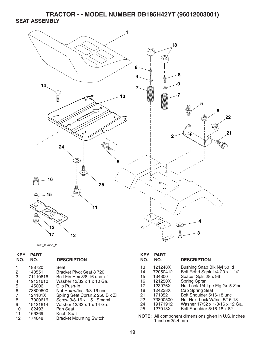**TRACTOR - - MODEL NUMBER DB185H42YT (96012003001) SEAT ASSEMBLY** 





| <b>KEY</b><br>NO.                    | <b>PART</b><br>NO.                                                                                | <b>DESCRIPTION</b>                                                                                                                                                                                                                   | <b>KEY</b><br>NO.                                  | <b>PART</b><br>NO.                                                                               | <b>DESC</b>                                                                                                       |
|--------------------------------------|---------------------------------------------------------------------------------------------------|--------------------------------------------------------------------------------------------------------------------------------------------------------------------------------------------------------------------------------------|----------------------------------------------------|--------------------------------------------------------------------------------------------------|-------------------------------------------------------------------------------------------------------------------|
| 2<br>3<br>4<br>5<br>6<br>7<br>8<br>9 | 188720<br>140551<br>71110616<br>19131610<br>145006<br>73800600<br>124181X<br>17000616<br>19131614 | Seat<br>Bracket Pivot Seat 8 720<br>Bolt Fin Hex 3/8-16 unc x 1<br>Washer 13/32 x 1 x 10 Ga.<br>Clip Push-In<br>Nut Hex w/Ins. 3/8-16 unc<br>Spring Seat Cprsn 2 250 Blk Zi<br>Screw 3/8-16 x 1.5 Smgml<br>Washer 13/32 x 1 x 14 Ga. | 13<br>14<br>15<br>16<br>17<br>18<br>21<br>22<br>24 | 121248X<br>72050412<br>134300<br>121250X<br>123976X<br>124238X<br>171852<br>73800500<br>19171912 | <b>Bushir</b><br><b>Bolt R</b><br>Space<br>Spring<br>Nut Lo<br>Cap <sub>S</sub><br><b>Bolt S</b><br>Nut H<br>Wash |
| 10<br>11<br>12                       | 182493<br>166369<br>174648                                                                        | Pan Seat<br><b>Knob Seat</b><br><b>Bracket Mounting Switch</b>                                                                                                                                                                       | 25                                                 | 127018X<br><b>NOTE:</b> All component dime<br>1 inch = $25.4 \text{ mm}$                         | <b>Bolt S</b>                                                                                                     |

| KEY<br>NO.                                               | PART<br>NO.                                                                                                 | <b>DESCRIPTION</b>                                                                                                                                                                                                                                                                          |
|----------------------------------------------------------|-------------------------------------------------------------------------------------------------------------|---------------------------------------------------------------------------------------------------------------------------------------------------------------------------------------------------------------------------------------------------------------------------------------------|
| 13<br>14<br>15<br>16<br>17<br>18<br>21<br>22<br>24<br>25 | 121248X<br>72050412<br>134300<br>121250X<br>123976X<br>124238X<br>171852<br>73800500<br>19171912<br>127018X | Bushing Snap Blk Nyl 50 ld<br>Bolt Rdhd Sqnk 1/4-20 x 1-1/2<br>Spacer Split 28 x 96<br><b>Spring Cprsn</b><br>Nut Lock 1/4 Lge Flg Gr. 5 Zinc<br>Cap Spring Seat<br>Bolt Shoulder 5/16-18 unc<br>Nut Hex Lock W/Ins 5/16-18<br>Washer 17/32 x 1-3/16 x 12 Ga.<br>Bolt Shoulder 5/16-18 x 62 |
|                                                          |                                                                                                             |                                                                                                                                                                                                                                                                                             |

**nsions given in U.S. inches** 1 inch  $= 25.4$  mm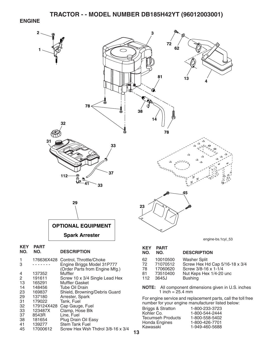#### **ENGINE**



- 33 123487X Clamp, Hose Blk<br>37 8543R Line, Fuel 37 8543R Line, Fuel
- 181654 Plug Drain Oil Easy
- 41 139277 Stem Tank Fuel
- 45 17000612 Screw Hex Wsh Thdrol 3/8-16 x 3/4
- **13**

Tecumseh Products 1-800-558-5402 Honda Engines 1-800-426-7701 Kawasaki 1-949-460-5688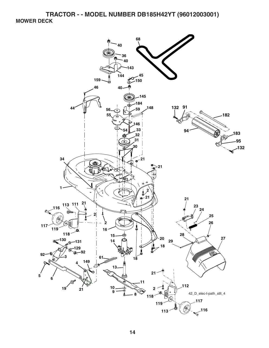**TRACTOR - - MODEL NUMBER DB185H42YT (96012003001) MOWER DECK** 

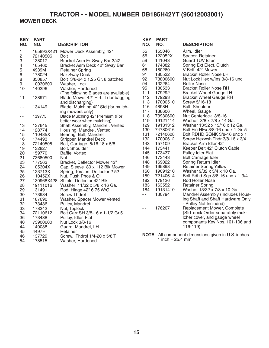## **TRACTOR - - MODEL NUMBER DB185H42YT (96012003001) MOWER DECK**

| <b>KEY</b><br>NO.                                                                            | <b>PART</b><br>NO.                                                                                                                                           | <b>DESCRIPTION</b>                                                                                                                                                                                                                                                                                                                                                                                                                               | <b>KEY</b><br>NO.                                                                                                   | <b>PART</b><br>NO.                                                                                                                                                         | <b>DESCRIPTION</b>                                                                                                                                                                                                                                                                                                                                                                                                                                                                          |
|----------------------------------------------------------------------------------------------|--------------------------------------------------------------------------------------------------------------------------------------------------------------|--------------------------------------------------------------------------------------------------------------------------------------------------------------------------------------------------------------------------------------------------------------------------------------------------------------------------------------------------------------------------------------------------------------------------------------------------|---------------------------------------------------------------------------------------------------------------------|----------------------------------------------------------------------------------------------------------------------------------------------------------------------------|---------------------------------------------------------------------------------------------------------------------------------------------------------------------------------------------------------------------------------------------------------------------------------------------------------------------------------------------------------------------------------------------------------------------------------------------------------------------------------------------|
| 1<br>$\overline{\mathbf{c}}$<br>3<br>4<br>5<br>6<br>8<br>9<br>10                             | 72140506<br>138017<br>165460<br>4939M<br>178024<br>850857<br>10030600<br>140296                                                                              | 165892X421 Mower Deck Assembly, 42"<br><b>Bolt</b><br>Bracket Asm Fr. Sway Bar 3/42<br>Bracket Asm Deck 42" Sway Bar<br><b>Retainer Spring</b><br><b>Bar Sway Deck</b><br>Bolt 3/8-24 x 1.25 Gr. 8 patched<br>Washer, Lock<br>Washer, Hardened<br>(The following Blades are available)                                                                                                                                                           | 55<br>56<br>59<br>61<br>68<br>91<br>92<br>94<br>95<br>111                                                           | 155046<br>122052X<br>141043<br>174882<br>180260<br>180532<br>73800600<br>132264<br>180533<br>179292                                                                        | Arm, Idler<br>Spacer, Retainer<br><b>Guard TUV Idler</b><br>Spring Ext Elect. Clutch<br>V-Belt, 42" Mower<br><b>Bracket Roller Nose LH</b><br>Nut Lock Hex w/Ins 3/8-16 unc<br><b>Roller Nose</b><br><b>Bracket Roller Nose RH</b><br><b>Bracket Wheel Gauge LH</b>                                                                                                                                                                                                                         |
| 11<br>$\sim$ $-$                                                                             | 138971<br>134149                                                                                                                                             | Blade Mower 42" Hi-Lift (for bagging<br>and discharging)<br>Blade, Mulching 42" Std (for mulch-                                                                                                                                                                                                                                                                                                                                                  | 112<br>113<br>116                                                                                                   | 179293<br>17000510<br>4898H                                                                                                                                                | <b>Bracket Wheel Gauge RH</b><br>Screw 5/16-18<br>Bolt, Shoulder                                                                                                                                                                                                                                                                                                                                                                                                                            |
| - -                                                                                          | 139775                                                                                                                                                       | ing mowers only)<br>Blade Mulching 42" Premium (For<br>better wear when mulching)                                                                                                                                                                                                                                                                                                                                                                | 117<br>118<br>119                                                                                                   | 188606<br>73930600<br>19121414                                                                                                                                             | Wheel, Gauge<br>Nut Centerlock 3/8-16<br>Washer 3/8 x 7/8 x 14 Ga.                                                                                                                                                                                                                                                                                                                                                                                                                          |
| 13<br>14<br>15<br>16<br>18<br>19<br>20<br>21<br>23<br>24<br>25<br>26<br>27<br>28<br>29<br>30 | 137645<br>128774<br>110485X<br>174493<br>72140505<br>132827<br>159770<br>73680500<br>177563<br>105304X<br>123713X<br>110452X<br>19111016<br>131491<br>173984 | Shaft Assembly, Mandrel, Vented<br>Housing, Mandrel, Vented<br>Bearing, Ball, Mandrel<br>Stripper, Mandrel Deck<br>Bolt, Carriage 5/16-18 x 5/8<br>Bolt, Shoulder<br>Baffle, Vortex<br>Nut<br>Bracket, Deflector Mower 42"<br>Cap, Sleeve 80 x 112 Blk Mower<br>Spring, Torsion, Deflector 2 52<br>Nut, Push Phos & Oil<br>130968X428 Shield, Deflector 42" Blk<br>Washer 11/32 x 5/8 x 16 Ga.<br>Rod, Hinge 42" 6 75 W/G<br><b>Screw Thdrol</b> | 129<br>130<br>131<br>132<br>143<br>144<br>145<br>146<br>148<br>149<br>150<br>159<br>182<br>183<br>184<br>$\sim$ $-$ | 19131312<br>74780616<br>72140608<br>17000612<br>157109<br>173441<br>173437<br>173443<br>169022<br>165898<br>19091210<br>72140614<br>179126<br>163552<br>19131410<br>130794 | Washer 13/32 x 13/16 x 12 Ga.<br>Bolt Fin HEx 3/8-16 unc x 1 Gr. 5<br>Bolt RDHD SQNK 3/8-16 unc x 1<br>Screw Hexwsh Thdr 3/8-16 x 3/4<br>Bracket Arm Idler 42"<br>Keeper Belt 42" Clutch Cable<br>Pulley Idler Flat<br>Bolt Carriage Idler<br>Spring Return Idler<br><b>Retainer Spring Yellow</b><br>Washer 9/32 x 3/4 x 10 Ga.<br>Bolt Rdhd Sqn 3/8-16 unc x 1-3/4<br><b>Rod Roller Nose</b><br><b>Retainer Spring</b><br>Washer 13/32 x 7/8 x 10 Ga.<br>Mandrel Assembly (Includes Hous- |
| 31<br>32<br>33<br>34<br>36<br>40<br>44<br>45                                                 | 187690<br>173436<br>178342<br>72110612<br>173438<br>73900600<br>140088<br>4497H                                                                              | Washer, Spacer Mower Vented<br>Pulley, Mandrel<br>Nut, Toplock<br>Bolt Carr SH 3/8-16 x 1-1/2 Gr.5<br>Pulley, Idler, Flat<br>Nut Lock 3/8-16<br>Guard, Mandrel, LH<br>Retainer                                                                                                                                                                                                                                                                   | $\sim$ $\sim$                                                                                                       | 176207                                                                                                                                                                     | ing Shaft and Shaft Hardware Only<br>- Pulley Not Included)<br>Replacement Mower, Complete<br>(Std. deck Order separately muk-<br>Icher cover, and gauge wheel<br>componants Key Nos. 101-106 and<br>$116-119$                                                                                                                                                                                                                                                                              |
| 46<br>54                                                                                     | 137729<br>178515                                                                                                                                             | Screw, Thdrol 1/4-20 x 5/8 T<br>Washer, Hardened                                                                                                                                                                                                                                                                                                                                                                                                 |                                                                                                                     | 1 inch = $25.4 \text{ mm}$                                                                                                                                                 | NOTE: All component dimensions given in U.S. inches                                                                                                                                                                                                                                                                                                                                                                                                                                         |